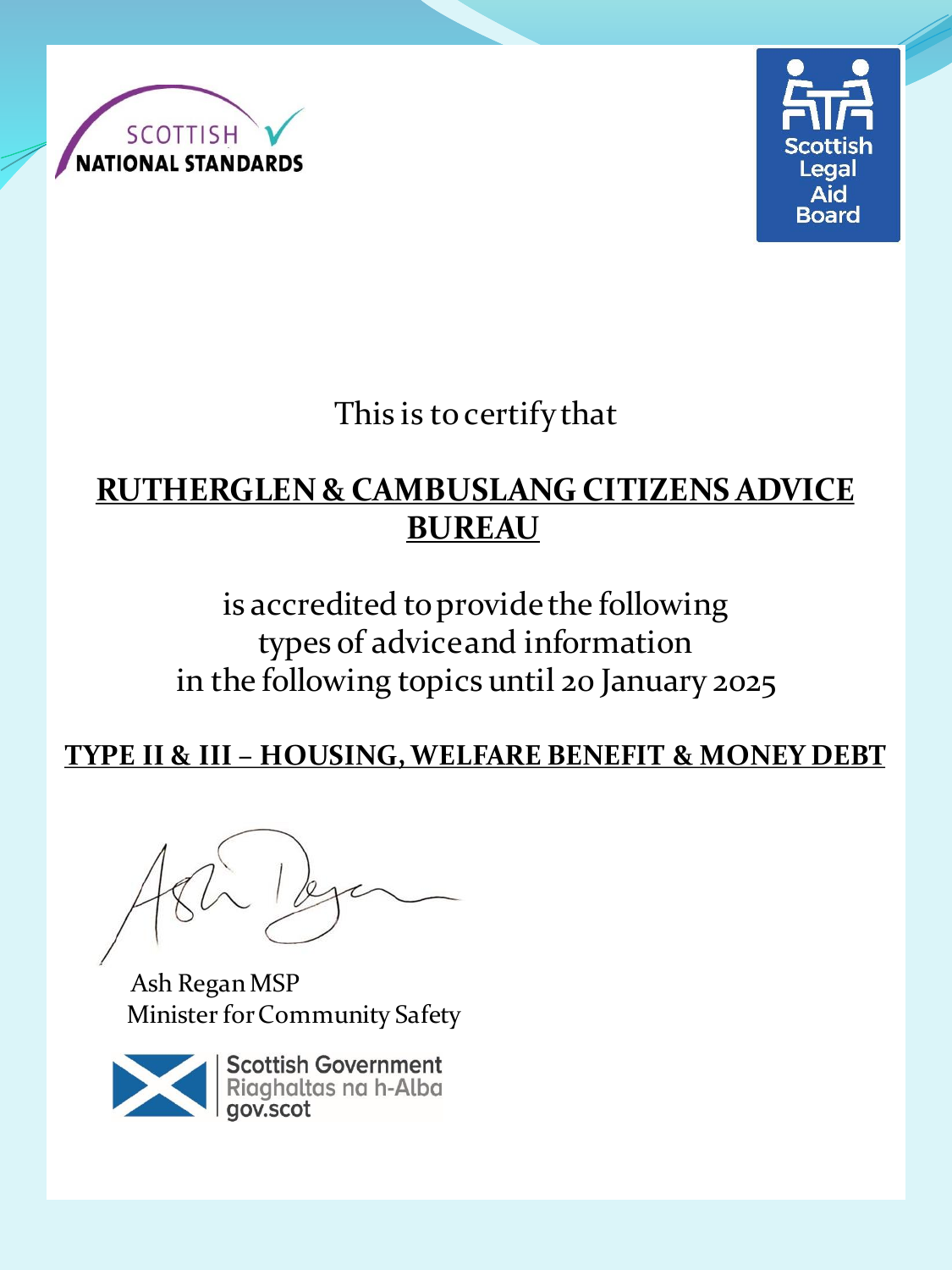



This is to certify that

## **RUTHERGLEN & CAMBUSLANG CITIZENS ADVICE BUREAU**

# is accredited to provide the following types of advice and information in the following topics until 20 January 2025

#### **TYPE II & III – HOUSING, WELFARE BENEFIT & MONEY DEBT**

Ash Regan MSP Minister for Community Safety

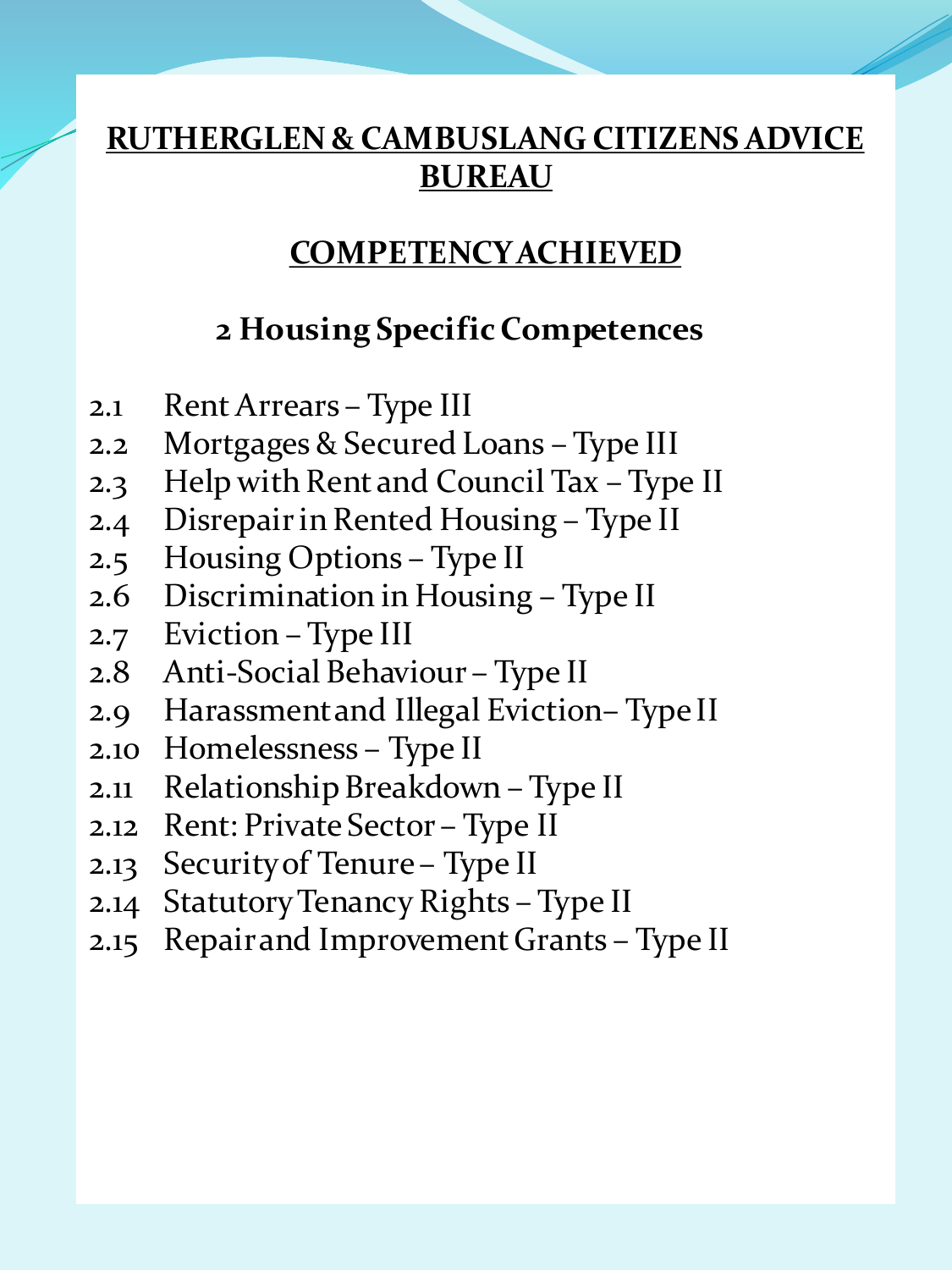### **COMPETENCY ACHIEVED**

#### **2 Housing Specific Competences**

- 2.1 Rent Arrears Type III
- 2.2 Mortgages & Secured Loans Type III
- 2.3 Help with Rent and Council Tax Type II
- 2.4 Disrepair in Rented Housing Type II
- 2.5 Housing Options Type II
- 2.6 Discrimination in Housing Type II
- 2.7 Eviction Type III
- 2.8 Anti-Social Behaviour Type II
- 2.9 Harassment and Illegal Eviction– Type II
- 2.10 Homelessness Type II
- 2.11 Relationship Breakdown Type II
- 2.12 Rent: Private Sector Type II
- 2.13 Security of Tenure Type II
- 2.14 Statutory Tenancy Rights Type II
- 2.15 Repair and Improvement Grants Type II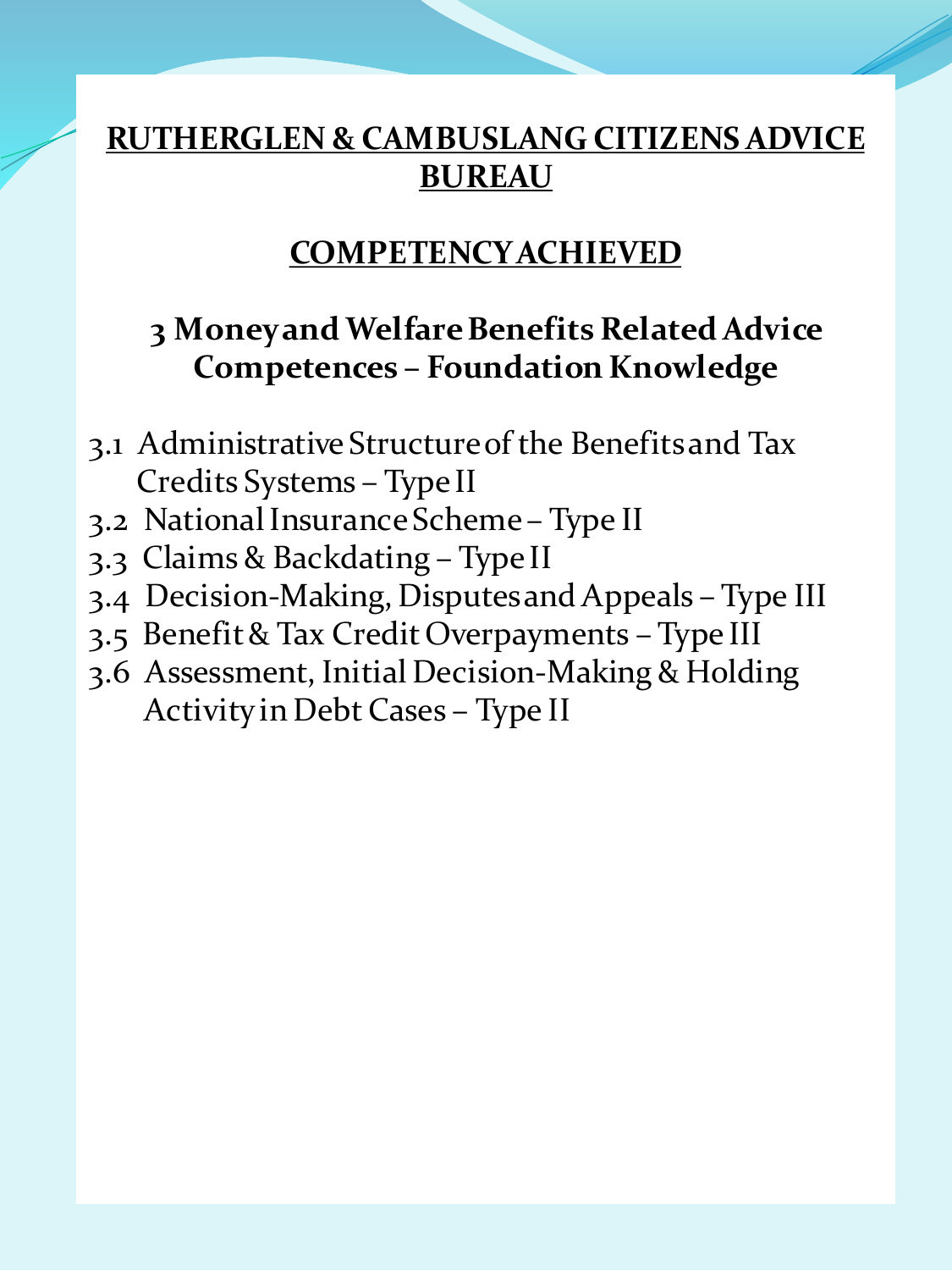### **COMPETENCY ACHIEVED**

### **3 Money and Welfare Benefits Related Advice Competences – Foundation Knowledge**

- 3.1 Administrative Structure of the Benefits and Tax Credits Systems – Type II
- 3.2 National Insurance Scheme Type II
- 3.3 Claims & Backdating Type II
- 3.4 Decision-Making, Disputes and Appeals Type III
- 3.5 Benefit & Tax Credit Overpayments Type III
- 3.6 Assessment, Initial Decision-Making & Holding Activity in Debt Cases – Type II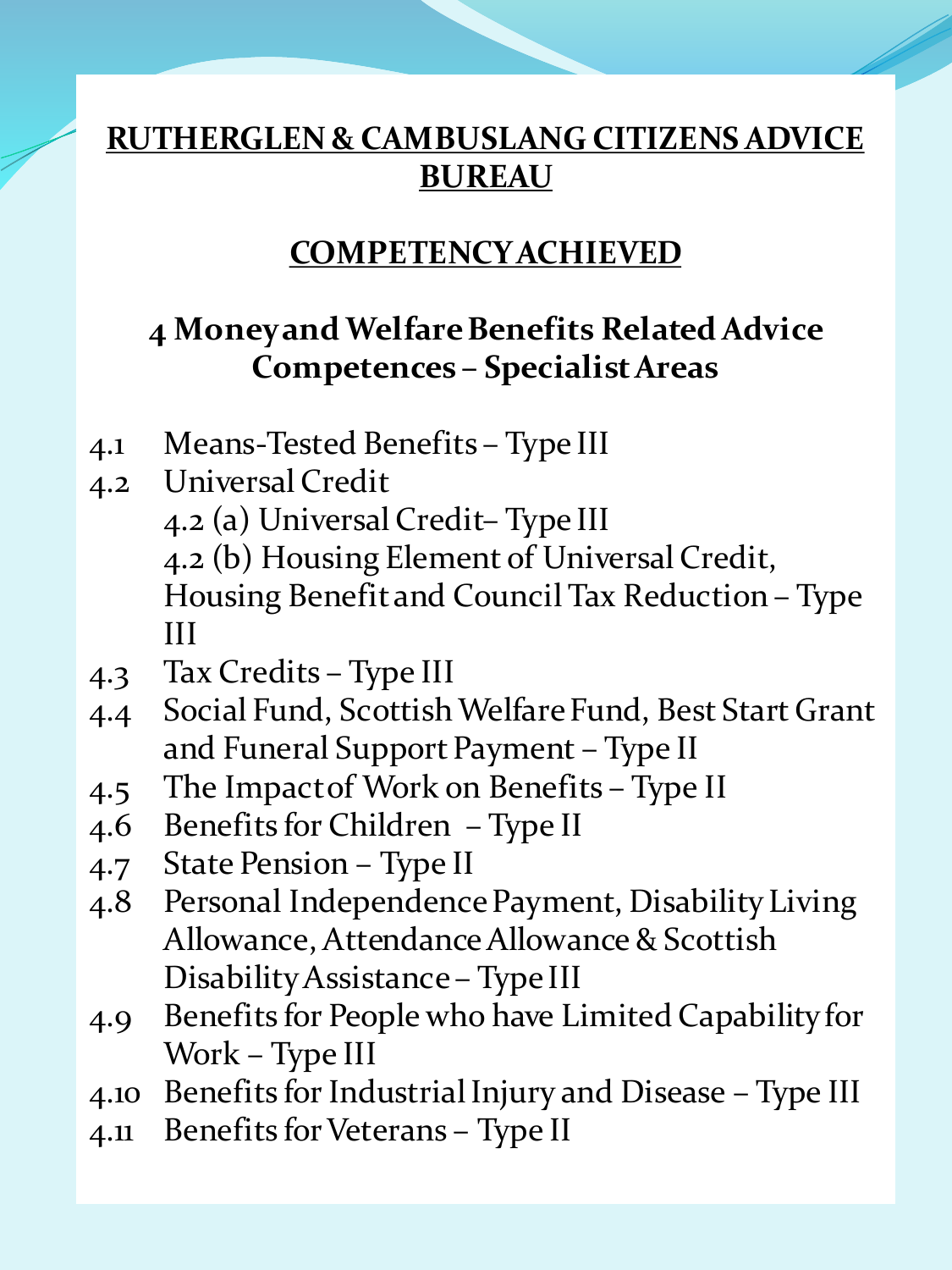## **COMPETENCY ACHIEVED**

# **4 Money and Welfare Benefits Related Advice Competences – Specialist Areas**

- 4.1 Means-Tested Benefits Type III
- 4.2 Universal Credit 4.2 (a) Universal Credit– Type III 4.2 (b) Housing Element of Universal Credit, Housing Benefit and Council Tax Reduction – Type III
- 4.3 Tax Credits Type III
- 4.4 Social Fund, Scottish Welfare Fund, Best Start Grant and Funeral Support Payment – Type II
- 4.5 The Impact of Work on Benefits Type II
- 4.6 Benefits for Children Type II
- 4.7 State Pension Type II
- 4.8 Personal Independence Payment, Disability Living Allowance, Attendance Allowance & Scottish Disability Assistance – Type III
- 4.9 Benefits for People who have Limited Capability for Work – Type III
- 4.10 Benefits for Industrial Injury and Disease Type III
- 4.11 Benefits for Veterans Type II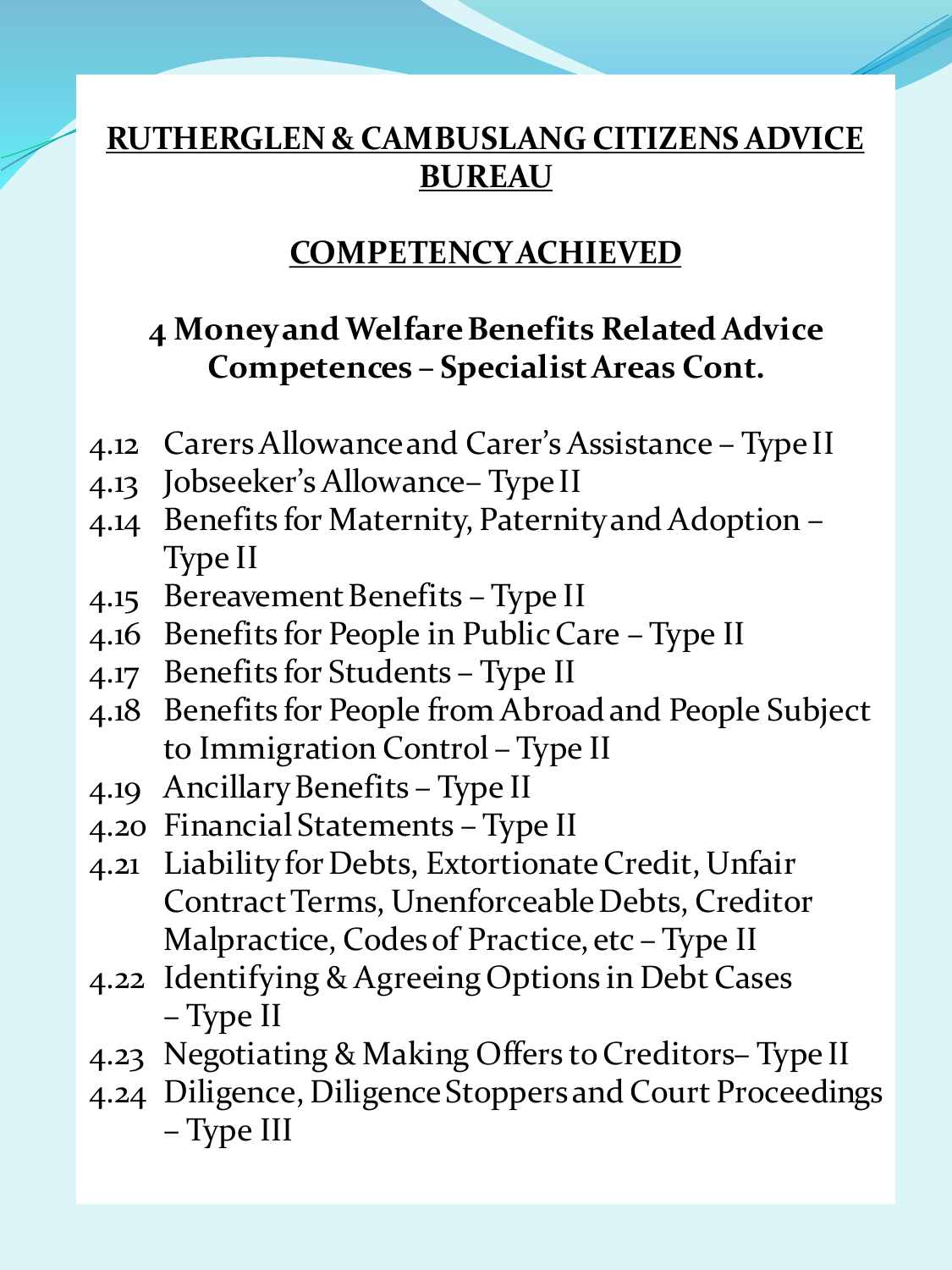## **COMPETENCY ACHIEVED**

## **4 Money and Welfare Benefits Related Advice Competences – Specialist Areas Cont.**

- 4.12 Carers Allowance and Carer's Assistance Type II
- 4.13 Jobseeker's Allowance– Type II
- 4.14 Benefits for Maternity, Paternity and Adoption Type II
- 4.15 Bereavement Benefits Type II
- 4.16 Benefits for People in Public Care Type II
- 4.17 Benefits for Students Type II
- 4.18 Benefits for People from Abroad and People Subject to Immigration Control – Type II
- 4.19 Ancillary Benefits Type II
- 4.20 Financial Statements Type II
- 4.21 Liability for Debts, Extortionate Credit, Unfair Contract Terms, Unenforceable Debts, Creditor Malpractice, Codes of Practice, etc – Type II
- 4.22 Identifying & Agreeing Options in Debt Cases – Type II
- 4.23 Negotiating & Making Offers to Creditors– Type II
- 4.24 Diligence, Diligence Stoppers and Court Proceedings – Type III